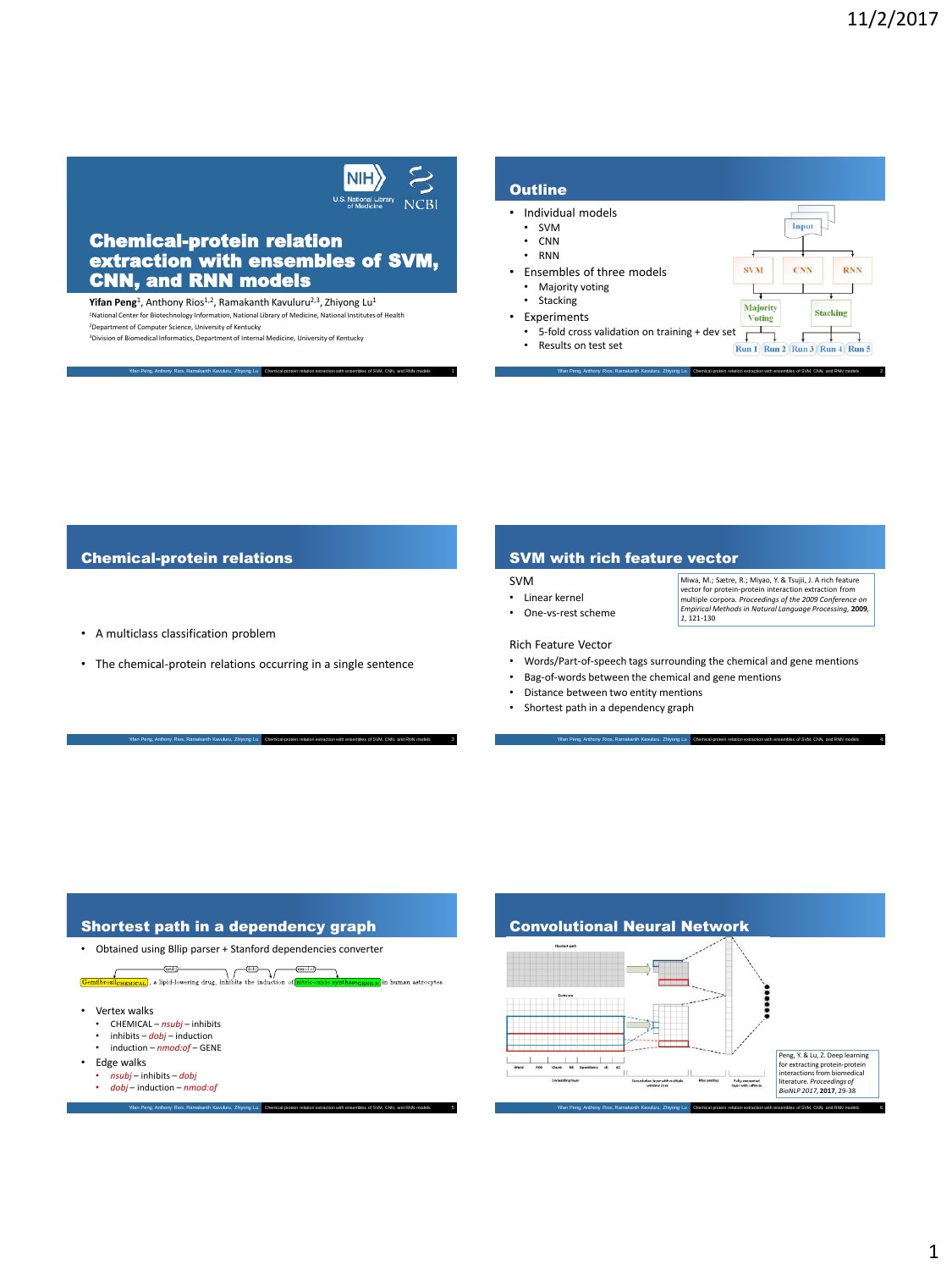$\sum_{\text{U.S. National Library of Medicine}}$ 

 $\vert$ NIH $\rangle$ 

### Chemical-protein relation extraction with ensembles of SVM, CNN, and RNN models

**Yifan Peng**<sup>1</sup>, Anthony Rios<sup>1,2</sup>, Ramakanth Kavuluru<sup>2,3</sup>, Zhiyong Lu<sup>1</sup> <sup>1</sup>National Center for Biotechnology Information, National Library of Medicine, National Institutes of Health <sup>2</sup>Department of Computer Science, University of Kentucky

Yifan Peng, Anthony Rios, Ramakanth Kavuluru, Zhiyong Lu Chemical-protein relation sion of Biomedical Informatics, Department of Internal Medicine, University of Kentucky

#### **Outline** • Individual models • SVM Input • CNN • RNN • Ensembles of three models **SVM CNN RNN** • Majority voting  $\overline{\phantom{a}}$ • Stacking Majority<br>Voting **Stacking** • Experiments  $\frac{1}{\sqrt{1}}$ • 5-fold cross validation on training + dev set  $\Gamma$  $\downarrow$ • Results on test set  $\boxed{\text{Run 1} \mid \text{Run 2} \mid \text{Run 3} \mid \text{Run 4} \mid \text{Run 5}}$

Yifan Peng, Anthony Rios, Ramakanth Kavuluru, Zhiyong Lu Chemical-protein relation extraction with ensembles of SVM, CNN, and RNN models 2

#### Chemical-protein relations

• A multiclass classification problem

Yifan Peng, Anthony Rios, Ramakanth Kavuluru, Zhiyong Lu Chemical-protein relation extraction with ensembles of SVM, CNN, and RNN models 3

• The chemical-protein relations occurring in a single sentence

#### SVM with rich feature vector

#### SVM

- Linear kernel • One-vs-rest scheme
- Miwa, M.; Sætre, R.; Miyao, Y. & Tsujii, J. A rich feature vector for protein-protein interaction extraction from multiple corpora. *Proceedings of the 2009 Conference on Empirical Methods in Natural Language Processing,* **2009***, 1*, 121-130

#### Rich Feature Vector

• Words/Part-of-speech tags surrounding the chemical and gene mentions

Yifan Peng, Anthony Rios, Ramakanth Kavuluru, Zhiyong Lu Chemical-protein relation extraction with ensembles of SVM, CNN, and RNN models 4

- Bag-of-words between the chemical and gene mentions
- Distance between two entity mentions
- Shortest path in a dependency graph

# Shortest path in a dependency graph



#### Convolutional Neural Network

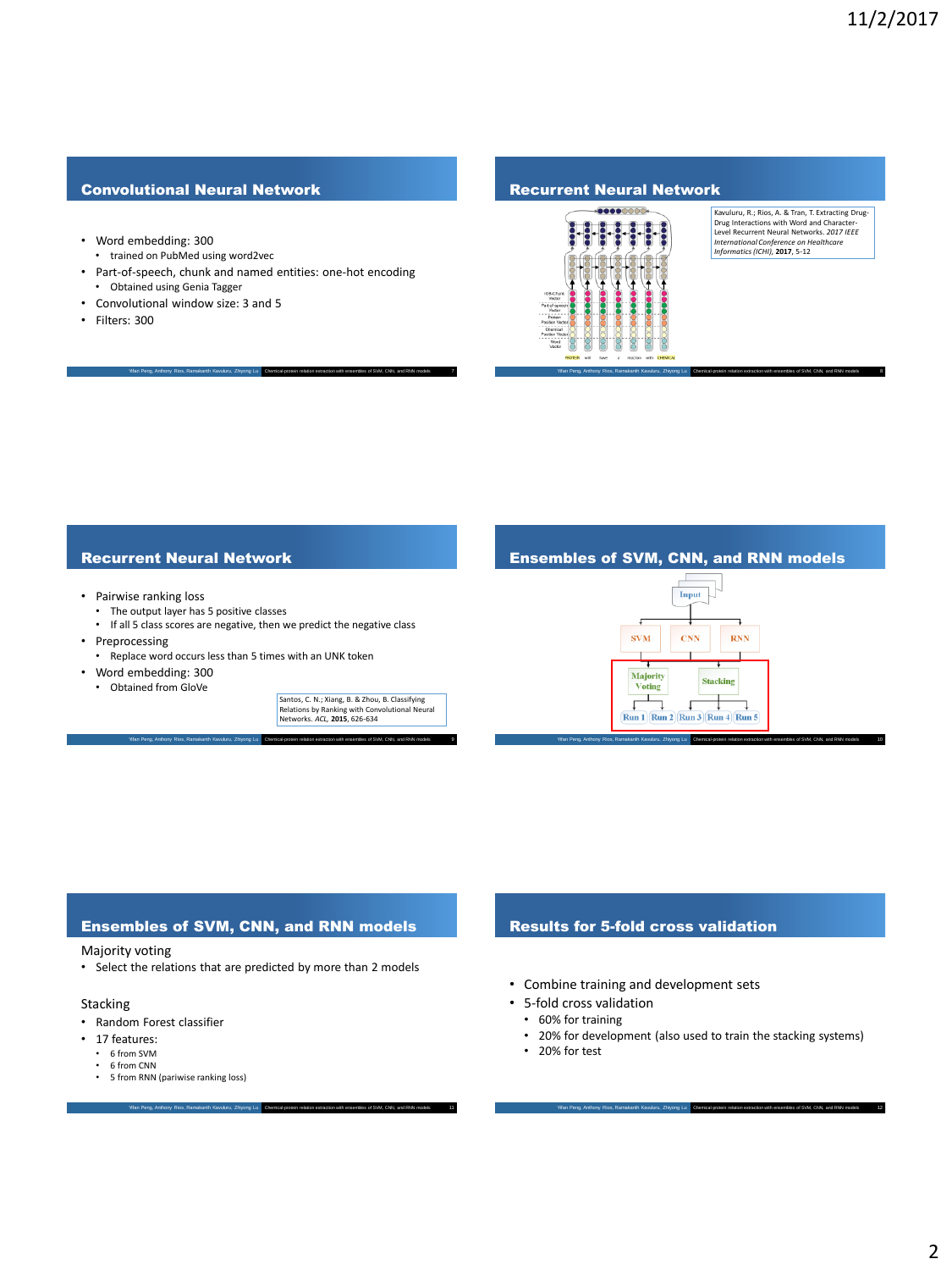### Convolutional Neural Network

- Word embedding: 300
- trained on PubMed using word2vec
- Part-of-speech, chunk and named entities: one-hot encoding • Obtained using Genia Tagger

Yifan Peng, Anthony Rios, Ramakanth Kavuluru, Zhiyong Lu Chemical-protein relation extraction with ensembles of SVM, CNN, and RNN models 7

- Convolutional window size: 3 and 5
- Filters: 300

#### Recurrent Neural Network



Kavuluru, R.; Rios, A. & Tran, T. Extracting Drug-Drug Interactions with Word and Character-Level Recurrent Neural Networks. *2017 IEEE International Conference on Healthcare Informatics (ICHI),* **2017**, 5-12

#### Recurrent Neural Network

- Pairwise ranking loss
	- The output layer has 5 positive classes
	- If all 5 class scores are negative, then we predict the negative class

Yifan Peng, Anthony Rios, Ramakanth Kavuluru, Zhiyong Lu Chemical-protein relation extraction with ensembles of SVM, CNN, and RNN models 9

- Preprocessing
- Replace word occurs less than 5 times with an UNK token
- Word embedding: 300
	- Obtained from GloVe

Santos, C. N.; Xiang, B. & Zhou, B. Classifying Relations by Ranking with Convolutional Neural Networks. *ACL,* **2015**, 626-634

#### Ensembles of SVM, CNN, and RNN models

Yifan Peng, Anthony Rios, Ramakanth Kavuluru, Zhiyong Lu Chemical-protein relation extraction with ensembles of SVM, CNN, and RNN models 8



Yifan Peng, Anthony Rios, Ramakanth Kavuluru, Zhiyong Lu Chemical-protein relation extraction with ensembles of SVM, CNN, and RNN models 10

#### Ensembles of SVM, CNN, and RNN models

Majority voting

• Select the relations that are predicted by more than 2 models

Yifan Peng, Anthony Rios, Ramakanth Kavuluru, Zhiyong Lu Chemical-protein relation extraction with ensembles of SVM, CNN, and RNN models 11

- Stacking
- Random Forest classifier
- 17 features:
	- 6 from SVM
	- 6 from CNN • 5 from RNN (pariwise ranking loss)

#### Results for 5-fold cross validation

- Combine training and development sets
- 5-fold cross validation
	- 60% for training
	- 20% for development (also used to train the stacking systems)

Yifan Peng, Anthony Rios, Ramakanth Kavuluru, Zhiyong Lu Chemical-protein relation extraction with ensembles of SVM, CNN, and RNN models 12

• 20% for test